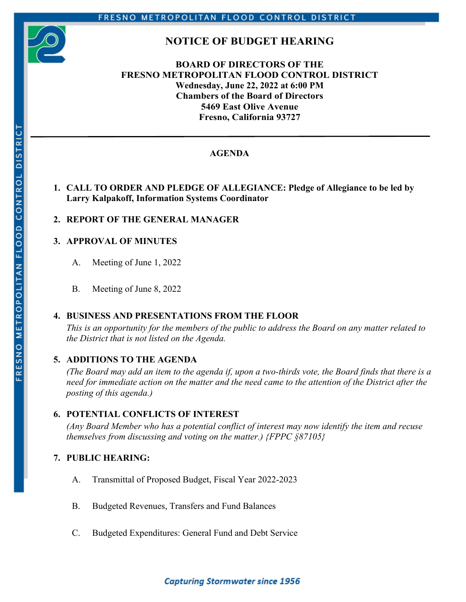

# **NOTICE OF BUDGET HEARING**

## **BOARD OF DIRECTORS OF THE FRESNO METROPOLITAN FLOOD CONTROL DISTRICT Wednesday, June 22, 2022 at 6:00 PM Chambers of the Board of Directors 5469 East Olive Avenue Fresno, California 93727**

# **AGENDA**

## **1. CALL TO ORDER AND PLEDGE OF ALLEGIANCE: Pledge of Allegiance to be led by Larry Kalpakoff, Information Systems Coordinator**

## **2. REPORT OF THE GENERAL MANAGER**

### **3. APPROVAL OF MINUTES**

A. Meeting of June 1, 2022

B. Meeting of June 8, 2022

### **4. BUSINESS AND PRESENTATIONS FROM THE FLOOR**

*This is an opportunity for the members of the public to address the Board on any matter related to the District that is not listed on the Agenda.* 

### **5. ADDITIONS TO THE AGENDA**

*(The Board may add an item to the agenda if, upon a two-thirds vote, the Board finds that there is a need for immediate action on the matter and the need came to the attention of the District after the posting of this agenda.)* 

### **6. POTENTIAL CONFLICTS OF INTEREST**

*(Any Board Member who has a potential conflict of interest may now identify the item and recuse themselves from discussing and voting on the matter.) {FPPC §87105}* 

### **7. PUBLIC HEARING:**

- A. Transmittal of Proposed Budget, Fiscal Year 2022-2023
- B. Budgeted Revenues, Transfers and Fund Balances
- C. Budgeted Expenditures: General Fund and Debt Service

# **Capturing Stormwater since 1956**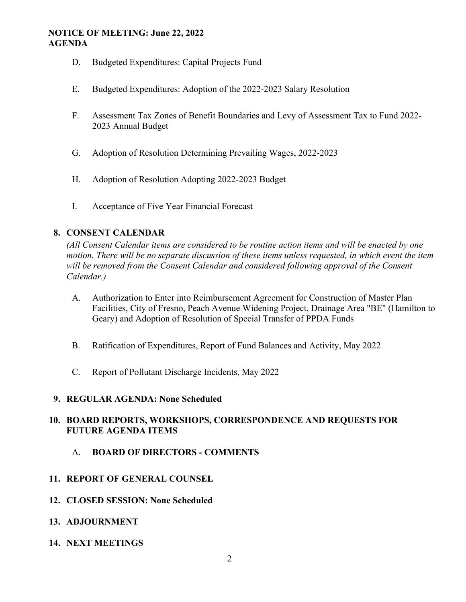#### **NOTICE OF MEETING: June 22, 2022 AGENDA**

- D. Budgeted Expenditures: Capital Projects Fund
- E. Budgeted Expenditures: Adoption of the 2022-2023 Salary Resolution
- F. Assessment Tax Zones of Benefit Boundaries and Levy of Assessment Tax to Fund 2022- 2023 Annual Budget
- G. Adoption of Resolution Determining Prevailing Wages, 2022-2023
- H. Adoption of Resolution Adopting 2022-2023 Budget
- I. Acceptance of Five Year Financial Forecast

### **8. CONSENT CALENDAR**

*(All Consent Calendar items are considered to be routine action items and will be enacted by one motion. There will be no separate discussion of these items unless requested, in which event the item will be removed from the Consent Calendar and considered following approval of the Consent Calendar.)* 

- A. Authorization to Enter into Reimbursement Agreement for Construction of Master Plan Facilities, City of Fresno, Peach Avenue Widening Project, Drainage Area "BE" (Hamilton to Geary) and Adoption of Resolution of Special Transfer of PPDA Funds
- B. Ratification of Expenditures, Report of Fund Balances and Activity, May 2022
- C. Report of Pollutant Discharge Incidents, May 2022

#### **9. REGULAR AGENDA: None Scheduled**

### **10. BOARD REPORTS, WORKSHOPS, CORRESPONDENCE AND REQUESTS FOR FUTURE AGENDA ITEMS**

- A. **BOARD OF DIRECTORS COMMENTS**
- **11. REPORT OF GENERAL COUNSEL**
- **12. CLOSED SESSION: None Scheduled**
- **13. ADJOURNMENT**
- **14. NEXT MEETINGS**